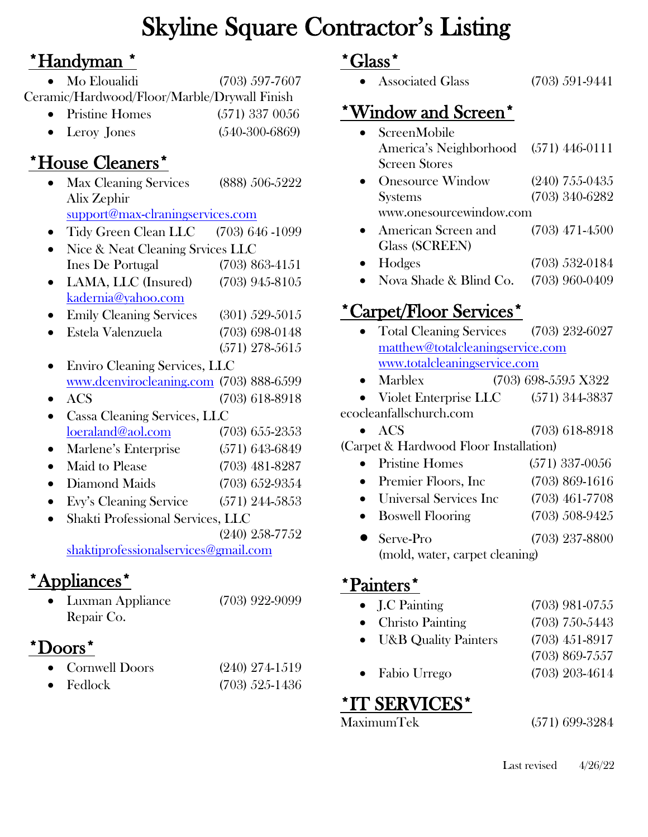### ۱. Skyline Square Contractor's Listing

### \*Handyman \*

• Mo Eloualidi (703) 597-7607 Ceramic/Hardwood/Floor/Marble/Drywall Finish

- Pristine Homes (571) 337 0056
- Leroy Jones (540-300-6869)

### \*House Cleaners\*

- Max Cleaning Services (888) 506-5222 Alix Zephir [support@max-clraningservices.com](mailto:support@max-clraningservices.com)
- Tidy Green Clean LLC (703) 646 -1099
- Nice & Neat Cleaning Srvices LLC Ines De Portugal (703) 863-4151
- LAMA, LLC (Insured) (703) 945-8105 [kadernia@yahoo.com](mailto:kadernia@yahoo.com)
- Emily Cleaning Services (301) 529-5015
- Estela Valenzuela (703) 698-0148
- (571) 278-5615 • Enviro Cleaning Services, LLC [www.dcenvirocleaning.com](http://www.dcenvirocleaning.com/) (703) 888-6599
- ACS (703) 618-8918
- Cassa Cleaning Services, LLC [loeraland@aol.com](mailto:loeraland@aol.com) (703) 655-2353
- Marlene's Enterprise (571) 643-6849 • Maid to Please (703) 481-8287
- Diamond Maids (703) 652-9354
- Evy's Cleaning Service (571) 244-5853
- Shakti Professional Services, LLC
- (240) 258-7752 [shaktiprofessionalservices@gmail.com](mailto:shaktiprofessionalservices@gmail.com)

## \*Appliances\*

• Luxman Appliance (703) 922-9099 Repair Co.

## \*Doors\*

• Cornwell Doors (240) 274-1519 • Fedlock (703) 525-1436

### \*Glass\*

• Associated Glass (703) 591-9441

## \*Window and Screen\*

• ScreenMobile America's Neighborhood (571) 446-0111 Screen Stores • Onesource Window  $(240)$  755-0435 Systems (703) 340-6282 www.onesourcewindow.com • American Screen and (703) 471-4500 Glass (SCREEN) • Hodges (703) 532-0184 • Nova Shade & Blind Co. (703) 960-0409

# \*Carpet/Floor Services\*

- Total Cleaning Services (703) 232-6027 [matthew@totalcleaningservice.com](mailto:matthew@totalcleaningservice.com) [www.totalcleaningservice.com](http://www.totalcleaningservice.com/) • Marblex (703) 698-5595 X322 • Violet Enterprise LLC (571) 344-3837 ecocleanfallschurch.com • ACS (703) 618-8918 (Carpet & Hardwood Floor Installation) • Pristine Homes (571) 337-0056 • Premier Floors, Inc (703) 869-1616 • Universal Services Inc (703) 461-7708 • Boswell Flooring (703) 508-9425 • Serve-Pro (703) 237-8800
	- (mold, water, carpet cleaning)

### \*Painters\*

| $\bullet$ J.C Painting     | $(703)$ 981-0755 |
|----------------------------|------------------|
| $\bullet$ Christo Painting | $(703)$ 750-5443 |
| • U&B Quality Painters     | $(703)$ 451-8917 |
|                            | $(703)$ 869-7557 |
| $\bullet$ Fabio Urrego     | $(703)$ 203-4614 |
|                            |                  |

# **\*IT SERVICES\***<br>MaximumTek

(571) 699-3284